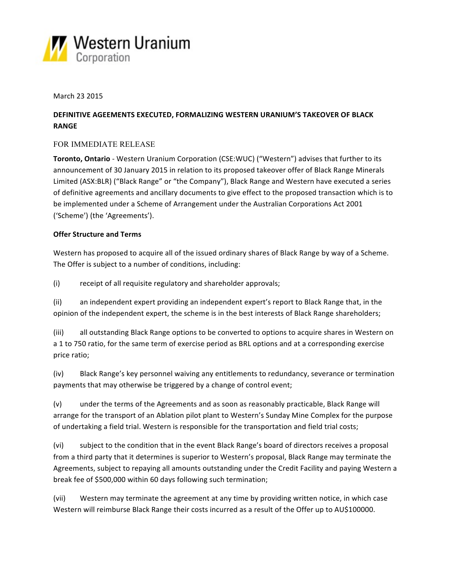

March 23 2015

# DEFINITIVE AGEEMENTS EXECUTED, FORMALIZING WESTERN URANIUM'S TAKEOVER OF BLACK **RANGE**

### FOR IMMEDIATE RELEASE

**Toronto, Ontario** - Western Uranium Corporation (CSE:WUC) ("Western") advises that further to its announcement of 30 January 2015 in relation to its proposed takeover offer of Black Range Minerals Limited (ASX:BLR) ("Black Range" or "the Company"), Black Range and Western have executed a series of definitive agreements and ancillary documents to give effect to the proposed transaction which is to be implemented under a Scheme of Arrangement under the Australian Corporations Act 2001 ('Scheme') (the 'Agreements').

#### **Offer Structure and Terms**

Western has proposed to acquire all of the issued ordinary shares of Black Range by way of a Scheme. The Offer is subject to a number of conditions, including:

(i) receipt of all requisite regulatory and shareholder approvals;

(ii) an independent expert providing an independent expert's report to Black Range that, in the opinion of the independent expert, the scheme is in the best interests of Black Range shareholders;

(iii) all outstanding Black Range options to be converted to options to acquire shares in Western on a 1 to 750 ratio, for the same term of exercise period as BRL options and at a corresponding exercise price ratio;

(iv) Black Range's key personnel waiving any entitlements to redundancy, severance or termination payments that may otherwise be triggered by a change of control event;

(v) under the terms of the Agreements and as soon as reasonably practicable, Black Range will arrange for the transport of an Ablation pilot plant to Western's Sunday Mine Complex for the purpose of undertaking a field trial. Western is responsible for the transportation and field trial costs;

(vi) subject to the condition that in the event Black Range's board of directors receives a proposal from a third party that it determines is superior to Western's proposal, Black Range may terminate the Agreements, subject to repaying all amounts outstanding under the Credit Facility and paying Western a break fee of \$500,000 within 60 days following such termination;

(vii) Western may terminate the agreement at any time by providing written notice, in which case Western will reimburse Black Range their costs incurred as a result of the Offer up to AU\$100000.